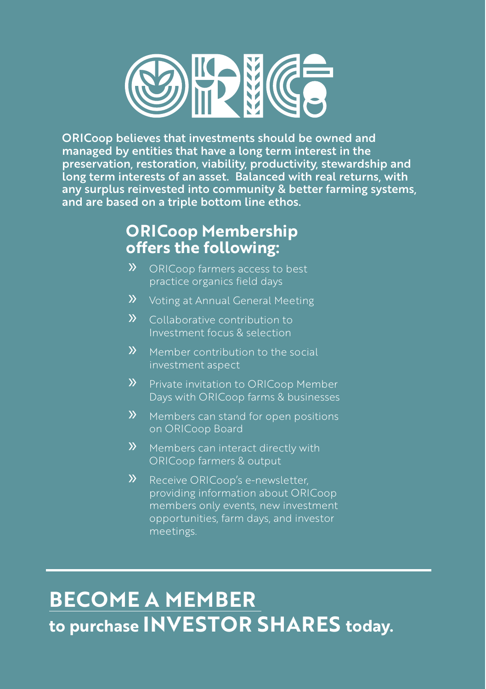

ORICoop believes that investments should be owned and managed by entities that have a long term interest in the preservation, restoration, viability, productivity, stewardship and long term interests of an asset. Balanced with real returns, with any surplus reinvested into community & better farming systems, and are based on a triple bottom line ethos.

### **ORICoop Membership offers the following:**

- » ORICoop farmers access to best practice organics field days
- » Voting at Annual General Meeting
- » Collaborative contribution to Investment focus & selection
- **»** Member contribution to the social investment aspect
- » Private invitation to ORICoop Member Days with ORICoop farms & businesses
- » Members can stand for open positions on ORICoop Board
- » Members can interact directly with ORICoop farmers & output
- **>>** Receive ORICoop's e-newsletter, providing information about ORICoop members only events, new investment opportunities, farm days, and investor meetings.

# **[BECOME A MEMBER](www.organicinvestmentcooperative.com.au)  to purchase INVESTOR SHARES today.**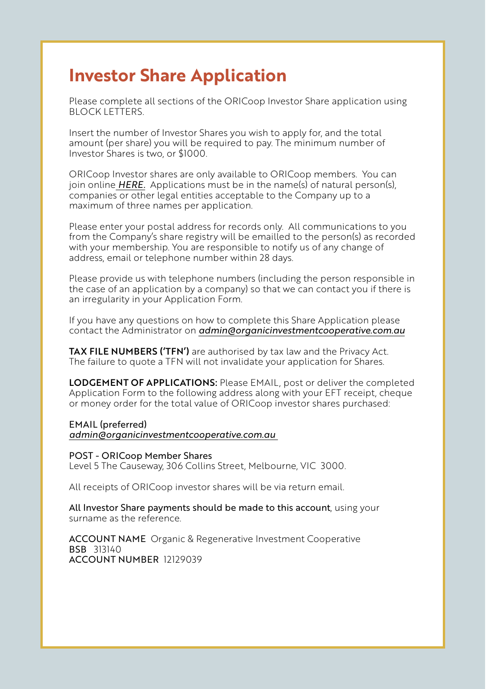### **Investor Share Application**

Please complete all sections of the ORICoop Investor Share application using BLOCK LETTERS.

Insert the number of Investor Shares you wish to apply for, and the total amount (per share) you will be required to pay. The minimum number of Investor Shares is two, or \$1000.

ORICoop Investor shares are only available to ORICoop members. You can join online *[HERE.](http://www.organicinvestmentcooperative.com.au)* Applications must be in the name(s) of natural person(s), companies or other legal entities acceptable to the Company up to a maximum of three names per application.

Please enter your postal address for records only. All communications to you from the Company's share registry will be emailled to the person(s) as recorded with your membership. You are responsible to notify us of any change of address, email or telephone number within 28 days.

Please provide us with telephone numbers (including the person responsible in the case of an application by a company) so that we can contact you if there is an irregularity in your Application Form.

If you have any questions on how to complete this Share Application please contact the Administrator on *[admin@organicinvestmentcooperative.com.au](mailto:admin@organicinvestmentcooperative.com.au)*

TAX FILE NUMBERS ('TFN') are authorised by tax law and the Privacy Act. The failure to quote a TFN will not invalidate your application for Shares.

LODGEMENT OF APPLICATIONS: Please EMAIL, post or deliver the completed Application Form to the following address along with your EFT receipt, cheque or money order for the total value of ORICoop investor shares purchased:

#### EMAIL (preferred)

*admin@organicinvestmentcooperative.com.au* 

POST - ORICoop Member Shares Level 5 The Causeway, 306 Collins Street, Melbourne, VIC 3000.

All receipts of ORICoop investor shares will be via return email.

All Investor Share payments should be made to this account, using your surname as the reference.

ACCOUNT NAME Organic & Regenerative Investment Cooperative BSB 313140 ACCOUNT NUMBER 12129039